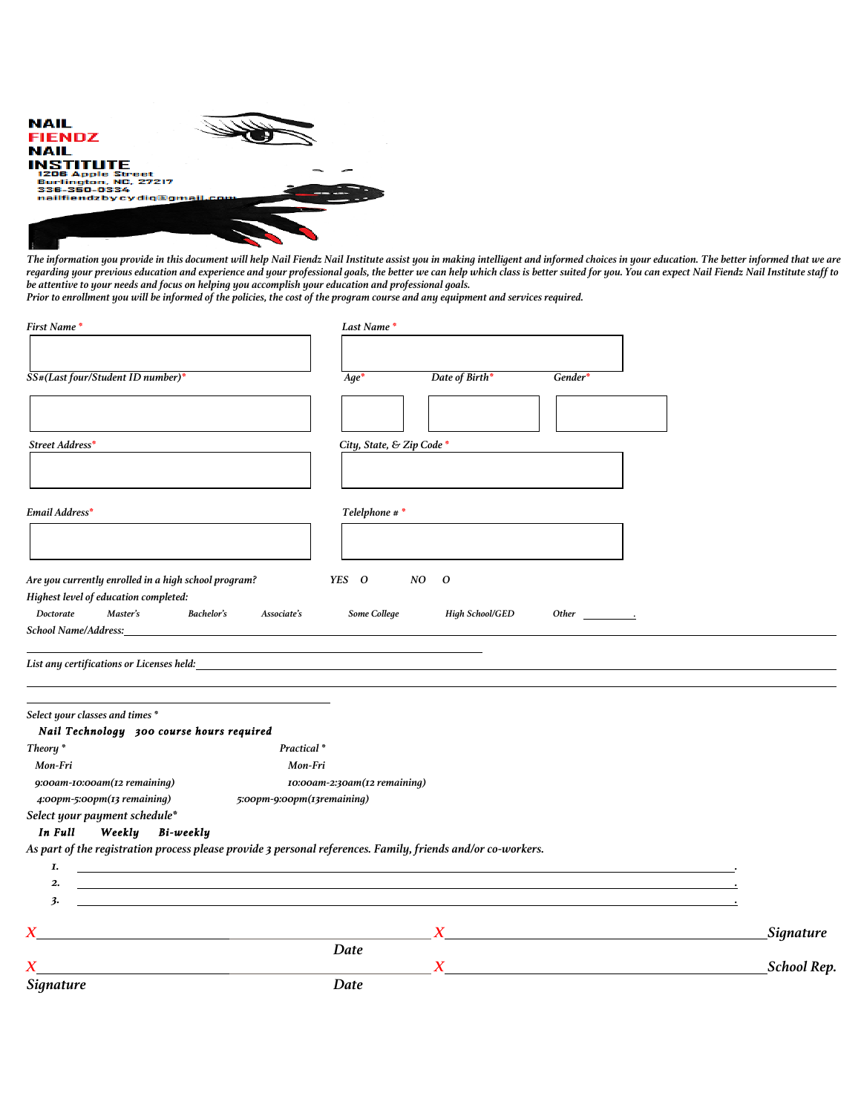| <b>NAIL</b>                                                                                                          |  |
|----------------------------------------------------------------------------------------------------------------------|--|
| <b>FIENDZ</b>                                                                                                        |  |
| <b>NAIL</b>                                                                                                          |  |
| <b>INSTITUTE</b><br><b>1206 Apple Street</b><br>Burlington, NC. 27217<br>336-350-0334<br>nailfiendzbycydig@gmail.com |  |
|                                                                                                                      |  |

*The information you provide in this document will help Nail Fiendz Nail Institute assist you in making intelligent and informed choices in your education. The better informed that we are regarding your previous education and experience and your professional goals, the better we can help which class is better suited for you. You can expect Nail Fiendz Nail Institute staff to be attentive to your needs and focus on helping you accomplish your education and professional goals.*

*Prior to enrollment you will be informed of the policies, the cost of the program course and any equipment and services required.*

| <b>First Name*</b>                                                                            | Last Name*                                                                                                     |                        |                       |             |  |
|-----------------------------------------------------------------------------------------------|----------------------------------------------------------------------------------------------------------------|------------------------|-----------------------|-------------|--|
|                                                                                               |                                                                                                                |                        |                       |             |  |
| SS#(Last four/Student ID number)*                                                             | $Aqe^*$                                                                                                        | Date of Birth*         | Gender*               |             |  |
| Street Address*                                                                               | City, State, & Zip Code*                                                                                       |                        |                       |             |  |
| Email Address*                                                                                | Telelphone # *                                                                                                 |                        |                       |             |  |
| Are you currently enrolled in a high school program?<br>Highest level of education completed: | YES O                                                                                                          | NO<br>$\boldsymbol{o}$ |                       |             |  |
| Doctorate<br>Master's<br><b>School Name/Address:</b>                                          | <b>Bachelor's</b><br>Some College<br>Associate's                                                               | <b>High School/GED</b> | Other $\qquad \qquad$ |             |  |
|                                                                                               | List any certifications or Licenses held: The state of the state of the state of the state of the state of the |                        |                       |             |  |
| Select your classes and times *<br>Nail Technology 300 course hours required                  |                                                                                                                |                        |                       |             |  |
| Theory <sup>*</sup>                                                                           | Practical*                                                                                                     |                        |                       |             |  |
| Mon-Fri                                                                                       | Mon-Fri                                                                                                        |                        |                       |             |  |
| 9:00am-10:00am(12 remaining)<br>4:00pm-5:00pm(13 remaining)                                   | 10:00am-2:30am(12 remaining)<br>5:00pm-9:00pm(13remaining)                                                     |                        |                       |             |  |
| Select your payment schedule*                                                                 |                                                                                                                |                        |                       |             |  |
| In Full<br>Weekly<br>Bi-weekly                                                                |                                                                                                                |                        |                       |             |  |
|                                                                                               | As part of the registration process please provide 3 personal references. Family, friends and/or co-workers.   |                        |                       |             |  |
| Ι.                                                                                            |                                                                                                                |                        |                       |             |  |
| 2.<br>3.                                                                                      |                                                                                                                |                        |                       |             |  |
|                                                                                               |                                                                                                                |                        |                       |             |  |
|                                                                                               |                                                                                                                |                        |                       | Signature   |  |
|                                                                                               | Date                                                                                                           |                        |                       |             |  |
|                                                                                               |                                                                                                                | $\overline{X}$         |                       | School Rep. |  |
| <b>Signature</b>                                                                              | Date                                                                                                           |                        |                       |             |  |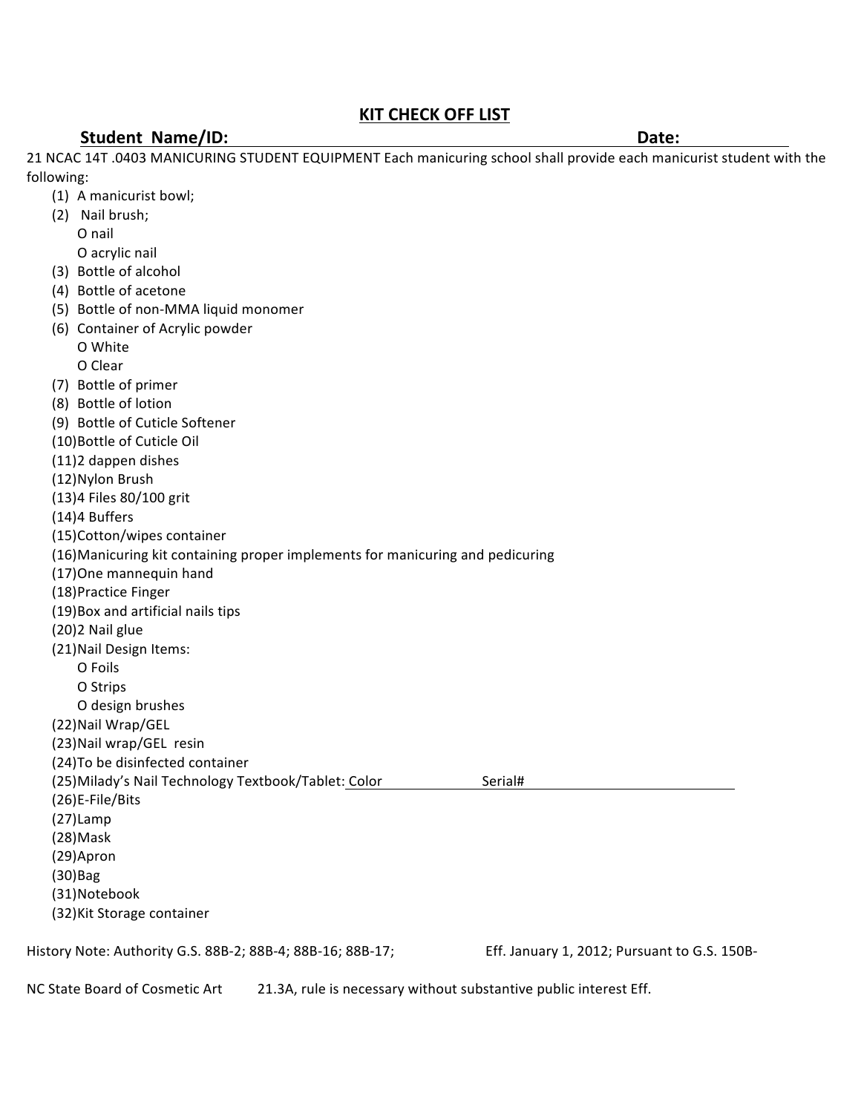## **KIT CHECK OFF LIST**

#### **Student Name/ID: Date: Date: Date: Date: Date: Date: Date: Date: Date: Date: Date: Date: Date: Date: Date: Date: Date: Date: Date: Date: Date: Date: Date: Date: Date: Da**

(1) A manicurist bowl;

21 NCAC 14T .0403 MANICURING STUDENT EQUIPMENT Each manicuring school shall provide each manicurist student with the following: 

(2) Nail brush; O nail O acrylic nail (3) Bottle of alcohol (4) Bottle of acetone (5) Bottle of non-MMA liquid monomer (6) Container of Acrylic powder O White O Clear (7) Bottle of primer (8) Bottle of lotion (9) Bottle of Cuticle Softener (10)Bottle of Cuticle Oil (11)2 dappen dishes (12)Nylon Brush (13)4 Files 80/100 grit (14)4 Buffers (15)Cotton/wipes container (16)Manicuring kit containing proper implements for manicuring and pedicuring (17) One mannequin hand (18)Practice Finger (19)Box and artificial nails tips (20)2 Nail glue (21) Nail Design Items: O Foils O Strips O design brushes (22)Nail Wrap/GEL (23) Nail wrap/GEL resin (24) To be disinfected container (25)Milady's Nail Technology Textbook/Tablet: Color Serial# (26)E-File/Bits (27)Lamp (28)Mask (29)Apron (30)Bag (31)Notebook (32) Kit Storage container History Note: Authority G.S. 88B-2; 88B-4; 88B-16; 88B-17; Eff. January 1, 2012; Pursuant to G.S. 150B-

NC State Board of Cosmetic Art 21.3A, rule is necessary without substantive public interest Eff.